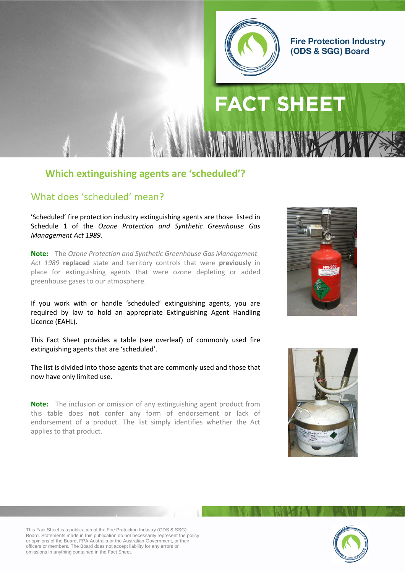

#### **Fire Protection Industry** (ODS & SGG) Board

# **FACT SHEET**

#### **Which extinguishing agents are 'scheduled'?**

#### What does 'scheduled' mean?

'Scheduled' fire protection industry extinguishing agents are those listed in Schedule 1 of the *Ozone Protection and Synthetic Greenhouse Gas Management Act 1989*.

**Note:** The *Ozone Protection and Synthetic Greenhouse Gas Management Act 1989* **replaced** state and territory controls that were **previously** in place for extinguishing agents that were ozone depleting or added greenhouse gases to our atmosphere.

If you work with or handle 'scheduled' extinguishing agents, you are required by law to hold an appropriate Extinguishing Agent Handling Licence (EAHL).

This Fact Sheet provides a table (see overleaf) of commonly used fire extinguishing agents that are 'scheduled'.

The list is divided into those agents that are commonly used and those that now have only limited use.

**Note:** The inclusion or omission of any extinguishing agent product from this table does **not** confer any form of endorsement or lack of endorsement of a product. The list simply identifies whether the Act applies to that product.







This Fact Sheet is a publication of the Fire Protection Industry (ODS & SSG) Board. Statements made in this publication do not necessarily represent the policy or opinions of the Board, FPA Australia or the Australian Government, or their officers or members. The Board does not accept liability for any errors or omissions in anything contained in the Fact Sheet.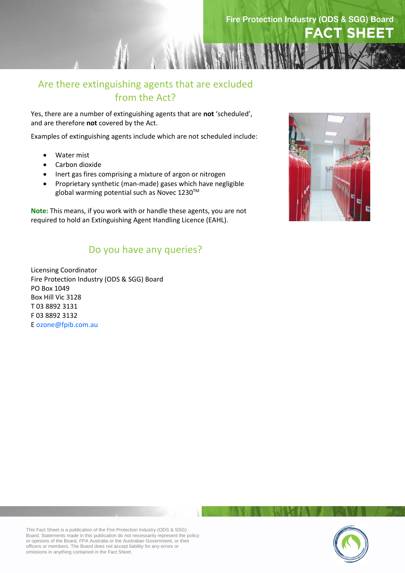

#### Are there extinguishing agents that are excluded from the Act?

Yes, there are a number of extinguishing agents that are **not** 'scheduled', and are therefore **not** covered by the Act.

Examples of extinguishing agents include which are not scheduled include:

- Water mist
- Carbon dioxide
- Inert gas fires comprising a mixture of argon or nitrogen
- Proprietary synthetic (man-made) gases which have negligible global warming potential such as Novec 1230™

**Note:** This means, if you work with or handle these agents, you are not required to hold an Extinguishing Agent Handling Licence (EAHL).

#### Do you have any queries?

Licensing Coordinator Fire Protection Industry (ODS & SGG) Board PO Box 1049 Box Hill Vic 3128 T 03 8892 3131 F 03 8892 3132 E [ozone@fp](mailto:ozone@fpaa.com.au)ib.com.au



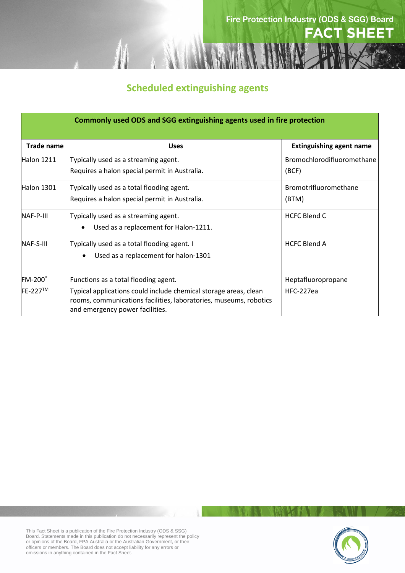

### **Scheduled extinguishing agents**

| <b>Commonly used ODS and SGG extinguishing agents used in fire protection</b> |                                                                                                                                                                                                                  |                                            |  |
|-------------------------------------------------------------------------------|------------------------------------------------------------------------------------------------------------------------------------------------------------------------------------------------------------------|--------------------------------------------|--|
| <b>Trade name</b>                                                             | <b>Uses</b>                                                                                                                                                                                                      | <b>Extinguishing agent name</b>            |  |
| Halon 1211                                                                    | Typically used as a streaming agent.<br>Requires a halon special permit in Australia.                                                                                                                            | <b>Bromochlorodifluoromethane</b><br>(BCF) |  |
| <b>Halon 1301</b>                                                             | Typically used as a total flooding agent.<br>Requires a halon special permit in Australia.                                                                                                                       | Bromotrifluoromethane<br>(BTM)             |  |
| NAF-P-III                                                                     | Typically used as a streaming agent.<br>Used as a replacement for Halon-1211.<br>$\bullet$                                                                                                                       | <b>HCFC Blend C</b>                        |  |
| NAF-S-III                                                                     | Typically used as a total flooding agent. I<br>Used as a replacement for halon-1301<br>$\bullet$                                                                                                                 | <b>HCFC Blend A</b>                        |  |
| FM-200°<br>FE-227™                                                            | Functions as a total flooding agent.<br>Typical applications could include chemical storage areas, clean<br>rooms, communications facilities, laboratories, museums, robotics<br>and emergency power facilities. | Heptafluoropropane<br>HFC-227ea            |  |